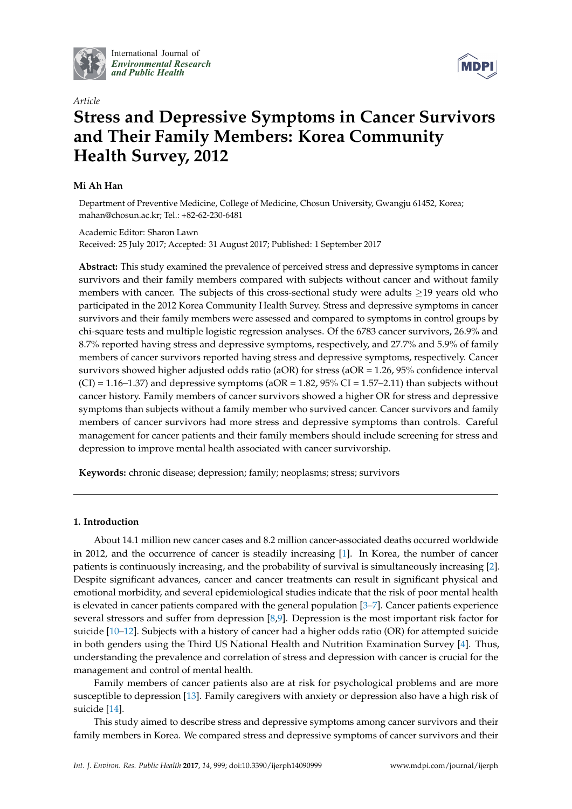

International Journal of *[Environmental Research](http://www.mdpi.com/journal/ijerph) and Public Health*



# *Article* **Stress and Depressive Symptoms in Cancer Survivors and Their Family Members: Korea Community Health Survey, 2012**

# **Mi Ah Han**

Department of Preventive Medicine, College of Medicine, Chosun University, Gwangju 61452, Korea; mahan@chosun.ac.kr; Tel.: +82-62-230-6481

Academic Editor: Sharon Lawn Received: 25 July 2017; Accepted: 31 August 2017; Published: 1 September 2017

**Abstract:** This study examined the prevalence of perceived stress and depressive symptoms in cancer survivors and their family members compared with subjects without cancer and without family members with cancer. The subjects of this cross-sectional study were adults ≥19 years old who participated in the 2012 Korea Community Health Survey. Stress and depressive symptoms in cancer survivors and their family members were assessed and compared to symptoms in control groups by chi-square tests and multiple logistic regression analyses. Of the 6783 cancer survivors, 26.9% and 8.7% reported having stress and depressive symptoms, respectively, and 27.7% and 5.9% of family members of cancer survivors reported having stress and depressive symptoms, respectively. Cancer survivors showed higher adjusted odds ratio (aOR) for stress (aOR = 1.26, 95% confidence interval  $(CI) = 1.16-1.37$  and depressive symptoms (aOR = 1.82, 95% CI = 1.57-2.11) than subjects without cancer history. Family members of cancer survivors showed a higher OR for stress and depressive symptoms than subjects without a family member who survived cancer. Cancer survivors and family members of cancer survivors had more stress and depressive symptoms than controls. Careful management for cancer patients and their family members should include screening for stress and depression to improve mental health associated with cancer survivorship.

**Keywords:** chronic disease; depression; family; neoplasms; stress; survivors

# **1. Introduction**

About 14.1 million new cancer cases and 8.2 million cancer-associated deaths occurred worldwide in 2012, and the occurrence of cancer is steadily increasing [\[1\]](#page-6-0). In Korea, the number of cancer patients is continuously increasing, and the probability of survival is simultaneously increasing [\[2\]](#page-6-1). Despite significant advances, cancer and cancer treatments can result in significant physical and emotional morbidity, and several epidemiological studies indicate that the risk of poor mental health is elevated in cancer patients compared with the general population [\[3–](#page-6-2)[7\]](#page-6-3). Cancer patients experience several stressors and suffer from depression [\[8](#page-6-4)[,9\]](#page-6-5). Depression is the most important risk factor for suicide [\[10–](#page-6-6)[12\]](#page-6-7). Subjects with a history of cancer had a higher odds ratio (OR) for attempted suicide in both genders using the Third US National Health and Nutrition Examination Survey [\[4\]](#page-6-8). Thus, understanding the prevalence and correlation of stress and depression with cancer is crucial for the management and control of mental health.

Family members of cancer patients also are at risk for psychological problems and are more susceptible to depression [\[13\]](#page-6-9). Family caregivers with anxiety or depression also have a high risk of suicide [\[14\]](#page-6-10).

This study aimed to describe stress and depressive symptoms among cancer survivors and their family members in Korea. We compared stress and depressive symptoms of cancer survivors and their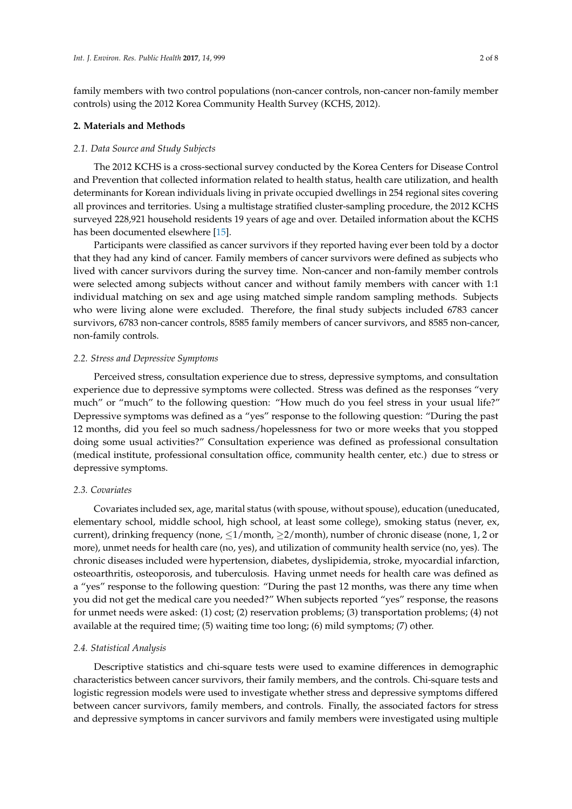family members with two control populations (non-cancer controls, non-cancer non-family member controls) using the 2012 Korea Community Health Survey (KCHS, 2012).

#### **2. Materials and Methods**

## *2.1. Data Source and Study Subjects*

The 2012 KCHS is a cross-sectional survey conducted by the Korea Centers for Disease Control and Prevention that collected information related to health status, health care utilization, and health determinants for Korean individuals living in private occupied dwellings in 254 regional sites covering all provinces and territories. Using a multistage stratified cluster-sampling procedure, the 2012 KCHS surveyed 228,921 household residents 19 years of age and over. Detailed information about the KCHS has been documented elsewhere [\[15\]](#page-6-11).

Participants were classified as cancer survivors if they reported having ever been told by a doctor that they had any kind of cancer. Family members of cancer survivors were defined as subjects who lived with cancer survivors during the survey time. Non-cancer and non-family member controls were selected among subjects without cancer and without family members with cancer with 1:1 individual matching on sex and age using matched simple random sampling methods. Subjects who were living alone were excluded. Therefore, the final study subjects included 6783 cancer survivors, 6783 non-cancer controls, 8585 family members of cancer survivors, and 8585 non-cancer, non-family controls.

#### *2.2. Stress and Depressive Symptoms*

Perceived stress, consultation experience due to stress, depressive symptoms, and consultation experience due to depressive symptoms were collected. Stress was defined as the responses "very much" or "much" to the following question: "How much do you feel stress in your usual life?" Depressive symptoms was defined as a "yes" response to the following question: "During the past 12 months, did you feel so much sadness/hopelessness for two or more weeks that you stopped doing some usual activities?" Consultation experience was defined as professional consultation (medical institute, professional consultation office, community health center, etc.) due to stress or depressive symptoms.

## *2.3. Covariates*

Covariates included sex, age, marital status (with spouse, without spouse), education (uneducated, elementary school, middle school, high school, at least some college), smoking status (never, ex, current), drinking frequency (none, ≤1/month, ≥2/month), number of chronic disease (none, 1, 2 or more), unmet needs for health care (no, yes), and utilization of community health service (no, yes). The chronic diseases included were hypertension, diabetes, dyslipidemia, stroke, myocardial infarction, osteoarthritis, osteoporosis, and tuberculosis. Having unmet needs for health care was defined as a "yes" response to the following question: "During the past 12 months, was there any time when you did not get the medical care you needed?" When subjects reported "yes" response, the reasons for unmet needs were asked: (1) cost; (2) reservation problems; (3) transportation problems; (4) not available at the required time; (5) waiting time too long; (6) mild symptoms; (7) other.

#### *2.4. Statistical Analysis*

Descriptive statistics and chi-square tests were used to examine differences in demographic characteristics between cancer survivors, their family members, and the controls. Chi-square tests and logistic regression models were used to investigate whether stress and depressive symptoms differed between cancer survivors, family members, and controls. Finally, the associated factors for stress and depressive symptoms in cancer survivors and family members were investigated using multiple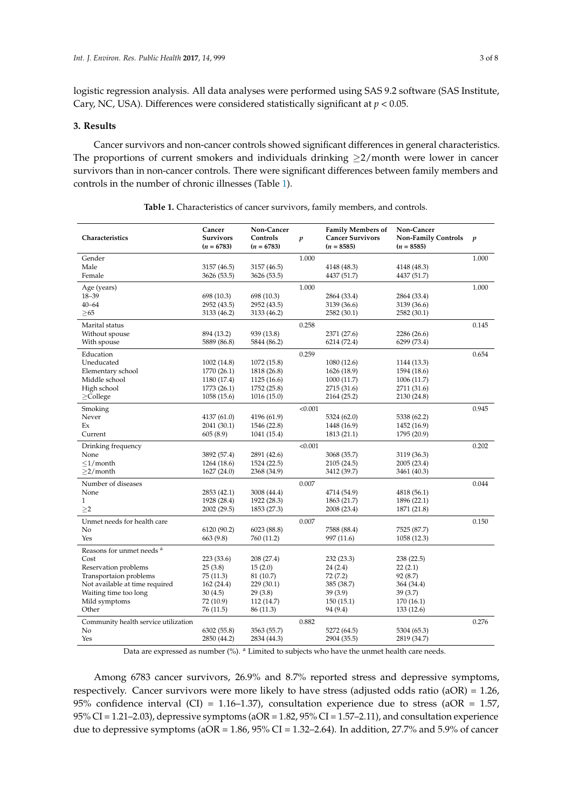logistic regression analysis. All data analyses were performed using SAS 9.2 software (SAS Institute, Cary, NC, USA). Differences were considered statistically significant at *p* < 0.05.

## **3. Results**

Cancer survivors and non-cancer controls showed significant differences in general characteristics. The proportions of current smokers and individuals drinking  $\geq$ 2/month were lower in cancer survivors than in non-cancer controls. There were significant differences between family members and controls in the number of chronic illnesses (Table [1\)](#page-2-0).

<span id="page-2-0"></span>

| Characteristics                      | Cancer<br><b>Survivors</b><br>$(n = 6783)$ | Non-Cancer<br>Controls<br>$(n = 6783)$ | p       | <b>Family Members of</b><br><b>Cancer Survivors</b><br>$(n = 8585)$ | Non-Cancer<br><b>Non-Family Controls</b><br>$(n = 8585)$ | $\boldsymbol{p}$ |
|--------------------------------------|--------------------------------------------|----------------------------------------|---------|---------------------------------------------------------------------|----------------------------------------------------------|------------------|
| Gender                               |                                            |                                        | 1.000   |                                                                     |                                                          | 1.000            |
| Male                                 | 3157 (46.5)                                | 3157 (46.5)                            |         | 4148 (48.3)                                                         | 4148 (48.3)                                              |                  |
| Female                               | 3626 (53.5)                                | 3626 (53.5)                            |         | 4437 (51.7)                                                         | 4437 (51.7)                                              |                  |
| Age (years)                          |                                            |                                        | 1.000   |                                                                     |                                                          | 1.000            |
| $18 - 39$                            | 698 (10.3)                                 | 698 (10.3)                             |         | 2864 (33.4)                                                         | 2864 (33.4)                                              |                  |
| $40 - 64$                            | 2952 (43.5)                                | 2952 (43.5)                            |         | 3139 (36.6)                                                         | 3139 (36.6)                                              |                  |
| $\geq 65$                            | 3133 (46.2)                                | 3133 (46.2)                            |         | 2582 (30.1)                                                         | 2582 (30.1)                                              |                  |
| Marital status                       |                                            |                                        | 0.258   |                                                                     |                                                          | 0.145            |
| Without spouse                       | 894 (13.2)                                 | 939 (13.8)                             |         | 2371 (27.6)                                                         | 2286 (26.6)                                              |                  |
| With spouse                          | 5889 (86.8)                                | 5844 (86.2)                            |         | 6214 (72.4)                                                         | 6299 (73.4)                                              |                  |
| Education                            |                                            |                                        | 0.259   |                                                                     |                                                          | 0.654            |
| Uneducated                           | 1002 (14.8)                                | 1072 (15.8)                            |         | 1080 (12.6)                                                         | 1144 (13.3)                                              |                  |
| Elementary school                    | 1770 (26.1)                                | 1818 (26.8)                            |         | 1626 (18.9)                                                         | 1594 (18.6)                                              |                  |
| Middle school                        | 1180 (17.4)                                | 1125(16.6)                             |         | 1000 (11.7)                                                         | 1006 (11.7)                                              |                  |
| High school                          | 1773 (26.1)                                | 1752 (25.8)                            |         | 2715 (31.6)                                                         | 2711 (31.6)                                              |                  |
| $\geq$ College                       | 1058 (15.6)                                | 1016(15.0)                             |         | 2164 (25.2)                                                         | 2130 (24.8)                                              |                  |
| Smoking                              |                                            |                                        | < 0.001 |                                                                     |                                                          | 0.945            |
| Never                                | 4137 (61.0)                                | 4196 (61.9)                            |         | 5324 (62.0)                                                         | 5338 (62.2)                                              |                  |
| Ex                                   | 2041 (30.1)                                | 1546 (22.8)                            |         | 1448 (16.9)                                                         | 1452 (16.9)                                              |                  |
| Current                              | 605(8.9)                                   | 1041 (15.4)                            |         | 1813 (21.1)                                                         | 1795 (20.9)                                              |                  |
| Drinking frequency                   |                                            |                                        | < 0.001 |                                                                     |                                                          | 0.202            |
| None                                 | 3892 (57.4)                                | 2891 (42.6)                            |         | 3068 (35.7)                                                         | 3119 (36.3)                                              |                  |
| $\leq$ 1/month                       | 1264 (18.6)                                | 1524 (22.5)                            |         | 2105 (24.5)                                                         | 2005 (23.4)                                              |                  |
| $>2/m$ onth                          | 1627 (24.0)                                | 2368 (34.9)                            |         | 3412 (39.7)                                                         | 3461 (40.3)                                              |                  |
| Number of diseases                   |                                            |                                        | 0.007   |                                                                     |                                                          | 0.044            |
| None                                 | 2853 (42.1)                                | 3008 (44.4)                            |         | 4714 (54.9)                                                         | 4818 (56.1)                                              |                  |
| $\mathbf{1}$                         | 1928 (28.4)                                | 1922 (28.3)                            |         | 1863 (21.7)                                                         | 1896 (22.1)                                              |                  |
| >2                                   | 2002 (29.5)                                | 1853 (27.3)                            |         | 2008 (23.4)                                                         | 1871 (21.8)                                              |                  |
| Unmet needs for health care          |                                            |                                        | 0.007   |                                                                     |                                                          | 0.150            |
| No                                   | 6120 (90.2)                                | 6023 (88.8)                            |         | 7588 (88.4)                                                         | 7525 (87.7)                                              |                  |
| Yes                                  | 663 (9.8)                                  | 760 (11.2)                             |         | 997 (11.6)                                                          | 1058 (12.3)                                              |                  |
| Reasons for unmet needs <sup>a</sup> |                                            |                                        |         |                                                                     |                                                          |                  |
| Cost                                 | 223 (33.6)                                 | 208 (27.4)                             |         | 232 (23.3)                                                          | 238 (22.5)                                               |                  |
| Reservation problems                 | 25(3.8)                                    | 15(2.0)                                |         | 24(2.4)                                                             | 22(2.1)                                                  |                  |
| Transportaion problems               | 75 (11.3)                                  | 81 (10.7)                              |         | 72(7.2)                                                             | 92 (8.7)                                                 |                  |
| Not available at time required       | 162(24.4)                                  | 229(30.1)                              |         | 385 (38.7)                                                          | 364 (34.4)                                               |                  |
| Waiting time too long                | 30(4.5)                                    | 29(3.8)                                |         | 39(3.9)                                                             | 39 (3.7)                                                 |                  |
| Mild symptoms                        | 72 (10.9)                                  | 112 (14.7)                             |         | 150(15.1)                                                           | 170 (16.1)                                               |                  |
| Other                                | 76 (11.5)                                  | 86 (11.3)                              |         | 94 (9.4)                                                            | 133 (12.6)                                               |                  |
| Community health service utilization |                                            |                                        | 0.882   |                                                                     |                                                          | 0.276            |
| No                                   | 6302 (55.8)                                | 3563 (55.7)                            |         | 5272 (64.5)                                                         | 5304 (65.3)                                              |                  |
| Yes                                  | 2850 (44.2)                                | 2834 (44.3)                            |         | 2904 (35.5)                                                         | 2819 (34.7)                                              |                  |

**Table 1.** Characteristics of cancer survivors, family members, and controls.

Data are expressed as number (%). <sup>a</sup> Limited to subjects who have the unmet health care needs.

Among 6783 cancer survivors, 26.9% and 8.7% reported stress and depressive symptoms, respectively. Cancer survivors were more likely to have stress (adjusted odds ratio (aOR) = 1.26, 95% confidence interval (CI) = 1.16–1.37), consultation experience due to stress (aOR = 1.57,  $95\%$  CI = 1.21–2.03), depressive symptoms (aOR = 1.82,  $95\%$  CI = 1.57–2.11), and consultation experience due to depressive symptoms ( $aOR = 1.86$ ,  $95\%$  CI = 1.32–2.64). In addition, 27.7% and 5.9% of cancer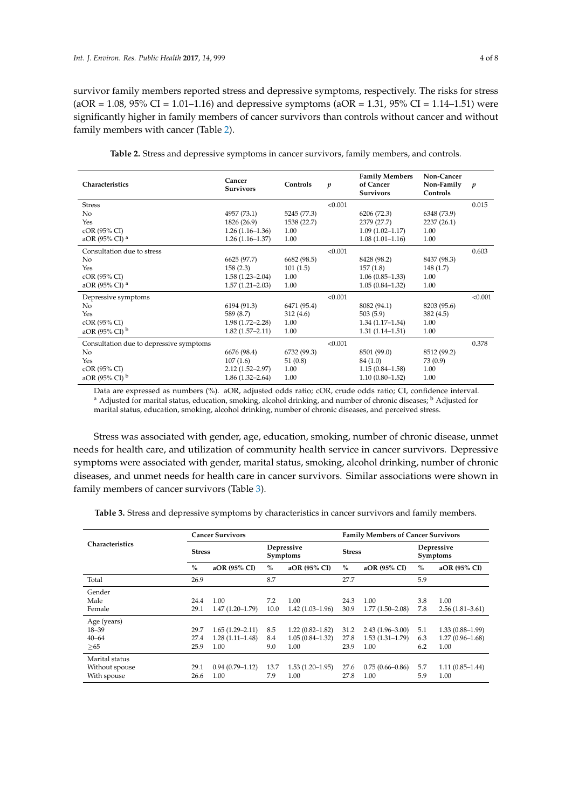survivor family members reported stress and depressive symptoms, respectively. The risks for stress  $(aOR = 1.08, 95\% CI = 1.01-1.16)$  and depressive symptoms  $(aOR = 1.31, 95\% CI = 1.14-1.51)$  were significantly higher in family members of cancer survivors than controls without cancer and without family members with cancer (Table [2\)](#page-3-0).

<span id="page-3-0"></span>

| <b>Family Members</b><br>Non-Cancer<br>Cancer<br>Characteristics<br>Controls<br>of Cancer<br>Non-Family<br>$\boldsymbol{p}$<br>$\boldsymbol{p}$<br><b>Survivors</b><br>Controls<br><b>Survivors</b><br>0.015<br><b>Stress</b><br>< 0.001 |
|------------------------------------------------------------------------------------------------------------------------------------------------------------------------------------------------------------------------------------------|
|                                                                                                                                                                                                                                          |
|                                                                                                                                                                                                                                          |
| No<br>4957 (73.1)<br>5245 (77.3)<br>6348 (73.9)<br>6206 (72.3)                                                                                                                                                                           |
| Yes<br>1826 (26.9)<br>1538 (22.7)<br>2237 (26.1)<br>2379 (27.7)                                                                                                                                                                          |
| cOR (95% CI)<br>$1.09(1.02 - 1.17)$<br>$1.26(1.16-1.36)$<br>1.00<br>1.00                                                                                                                                                                 |
| aOR (95% CI) <sup>a</sup><br>$1.08(1.01-1.16)$<br>$1.26(1.16-1.37)$<br>1.00<br>1.00                                                                                                                                                      |
| Consultation due to stress<br>< 0.001<br>0.603                                                                                                                                                                                           |
| No<br>6625 (97.7)<br>6682 (98.5)<br>8428 (98.2)<br>8437 (98.3)                                                                                                                                                                           |
| 158(2.3)<br>101(1.5)<br>157(1.8)<br>148(1.7)<br>Yes                                                                                                                                                                                      |
| cOR (95% CI)<br>$1.58(1.23 - 2.04)$<br>1.00<br>$1.06(0.85-1.33)$<br>1.00                                                                                                                                                                 |
| aOR (95% CI) <sup>a</sup><br>$1.57(1.21 - 2.03)$<br>$1.05(0.84 - 1.32)$<br>1.00<br>1.00                                                                                                                                                  |
| < 0.001<br>< 0.001<br>Depressive symptoms                                                                                                                                                                                                |
| 6471 (95.4)<br>8082 (94.1)<br>8203 (95.6)<br>No<br>6194 (91.3)                                                                                                                                                                           |
| Yes<br>589 (8.7)<br>312(4.6)<br>503(5.9)<br>382(4.5)                                                                                                                                                                                     |
| cOR (95% CI)<br>$1.98(1.72 - 2.28)$<br>1.00<br>$1.34(1.17-1.54)$<br>1.00                                                                                                                                                                 |
| aOR (95% CI) b<br>$1.82(1.57 - 2.11)$<br>1.00<br>$1.31(1.14 - 1.51)$<br>1.00                                                                                                                                                             |
| Consultation due to depressive symptoms<br>< 0.001<br>0.378                                                                                                                                                                              |
| No<br>6676 (98.4)<br>6732 (99.3)<br>8501 (99.0)<br>8512 (99.2)                                                                                                                                                                           |
| 107(1.6)<br>51(0.8)<br>Yes<br>84 (1.0)<br>73 (0.9)                                                                                                                                                                                       |
| cOR (95% CI)<br>$2.12(1.52 - 2.97)$<br>1.00<br>$1.15(0.84 - 1.58)$<br>1.00                                                                                                                                                               |
| aOR (95% CI) b<br>$1.10(0.80 - 1.52)$<br>$1.86(1.32 - 2.64)$<br>1.00<br>1.00                                                                                                                                                             |

**Table 2.** Stress and depressive symptoms in cancer survivors, family members, and controls.

Data are expressed as numbers (%). aOR, adjusted odds ratio; cOR, crude odds ratio; CI, confidence interval. <sup>a</sup> Adjusted for marital status, education, smoking, alcohol drinking, and number of chronic diseases; <sup>b</sup> Adjusted for marital status, education, smoking, alcohol drinking, number of chronic diseases, and perceived stress.

Stress was associated with gender, age, education, smoking, number of chronic disease, unmet needs for health care, and utilization of community health service in cancer survivors. Depressive symptoms were associated with gender, marital status, smoking, alcohol drinking, number of chronic diseases, and unmet needs for health care in cancer survivors. Similar associations were shown in family members of cancer survivors (Table [3\)](#page-4-0).

**Table 3.** Stress and depressive symptoms by characteristics in cancer survivors and family members.

| <b>Characteristics</b> | <b>Cancer Survivors</b> |                     |                        |                     | <b>Family Members of Cancer Survivors</b> |                     |                        |                     |
|------------------------|-------------------------|---------------------|------------------------|---------------------|-------------------------------------------|---------------------|------------------------|---------------------|
|                        | <b>Stress</b>           |                     | Depressive<br>Symptoms |                     | <b>Stress</b>                             |                     | Depressive<br>Symptoms |                     |
|                        | $\%$                    | aOR (95% CI)        | $\%$                   | aOR (95% CI)        | $\%$                                      | aOR (95% CI)        | $\%$                   | aOR (95% CI)        |
| Total                  | 26.9                    |                     | 8.7                    |                     | 27.7                                      |                     | 5.9                    |                     |
| Gender                 |                         |                     |                        |                     |                                           |                     |                        |                     |
| Male                   | 24.4                    | 1.00                | 7.2                    | 1.00                | 24.3                                      | 1.00                | 3.8                    | 1.00                |
| Female                 | 29.1                    | $1.47(1.20-1.79)$   | 10.0                   | $1.42(1.03-1.96)$   | 30.9                                      | $1.77(1.50-2.08)$   | 7.8                    | $2.56(1.81-3.61)$   |
| Age (years)            |                         |                     |                        |                     |                                           |                     |                        |                     |
| $18 - 39$              | 29.7                    | $1.65(1.29 - 2.11)$ | 8.5                    | $1.22(0.82 - 1.82)$ | 31.2                                      | $2.43(1.96 - 3.00)$ | 5.1                    | $1.33(0.88 - 1.99)$ |
| $40 - 64$              | 27.4                    | $1.28(1.11-1.48)$   | 8.4                    | $1.05(0.84 - 1.32)$ | 27.8                                      | $1.53(1.31-1.79)$   | 6.3                    | $1.27(0.96 - 1.68)$ |
| > 65                   | 25.9                    | 1.00                | 9.0                    | 1.00                | 23.9                                      | 1.00                | 6.2                    | 1.00                |
| Marital status         |                         |                     |                        |                     |                                           |                     |                        |                     |
| Without spouse         | 29.1                    | $0.94(0.79 - 1.12)$ | 13.7                   | $1.53(1.20-1.95)$   | 27.6                                      | $0.75(0.66 - 0.86)$ | 5.7                    | $1.11(0.85 - 1.44)$ |
| With spouse            | 26.6                    | 1.00                | 7.9                    | 1.00                | 27.8                                      | 1.00                | 5.9                    | 1.00                |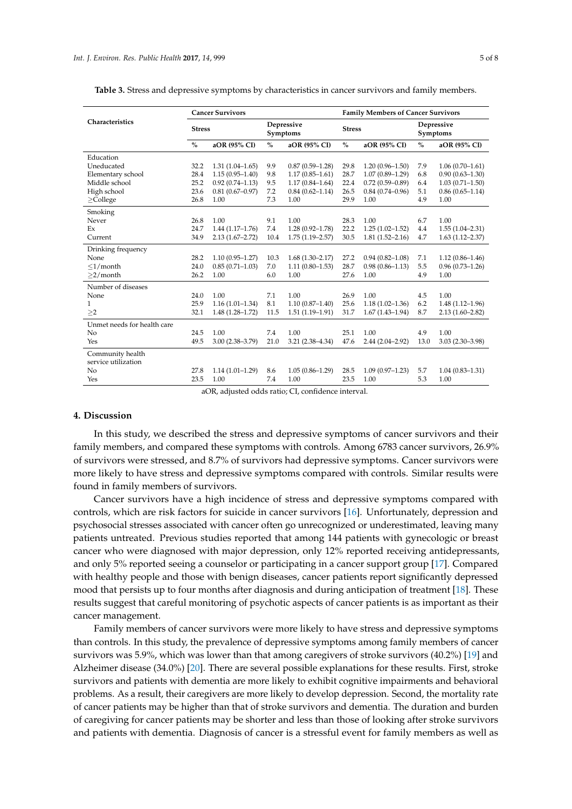|                             | <b>Cancer Survivors</b> |                     |                        |                     | <b>Family Members of Cancer Survivors</b> |                     |                        |                     |
|-----------------------------|-------------------------|---------------------|------------------------|---------------------|-------------------------------------------|---------------------|------------------------|---------------------|
| Characteristics             | <b>Stress</b>           |                     | Depressive<br>Symptoms |                     | <b>Stress</b>                             |                     | Depressive<br>Symptoms |                     |
|                             | $\%$                    | aOR (95% CI)        | $\%$                   | aOR (95% CI)        | $\%$                                      | aOR (95% CI)        | $\%$                   | aOR (95% CI)        |
| Education                   |                         |                     |                        |                     |                                           |                     |                        |                     |
| Uneducated                  | 32.2                    | $1.31(1.04 - 1.65)$ | 9.9                    | $0.87(0.59 - 1.28)$ | 29.8                                      | $1.20(0.96 - 1.50)$ | 7.9                    | $1.06(0.70-1.61)$   |
| Elementary school           | 28.4                    | $1.15(0.95 - 1.40)$ | 9.8                    | $1.17(0.85 - 1.61)$ | 28.7                                      | $1.07(0.89 - 1.29)$ | 6.8                    | $0.90(0.63 - 1.30)$ |
| Middle school               | 25.2                    | $0.92(0.74 - 1.13)$ | 9.5                    | $1.17(0.84 - 1.64)$ | 22.4                                      | $0.72(0.59 - 0.89)$ | 6.4                    | $1.03(0.71 - 1.50)$ |
| High school                 | 23.6                    | $0.81(0.67 - 0.97)$ | 7.2                    | $0.84(0.62 - 1.14)$ | 26.5                                      | $0.84(0.74 - 0.96)$ | 5.1                    | $0.86(0.65 - 1.14)$ |
| $\geq$ College              | 26.8                    | 1.00                | 7.3                    | 1.00                | 29.9                                      | 1.00                | 4.9                    | 1.00                |
| Smoking                     |                         |                     |                        |                     |                                           |                     |                        |                     |
| Never                       | 26.8                    | 1.00                | 9.1                    | 1.00                | 28.3                                      | 1.00                | 6.7                    | 1.00                |
| Ex                          | 24.7                    | $1.44(1.17-1.76)$   | 7.4                    | $1.28(0.92 - 1.78)$ | 22.2                                      | $1.25(1.02 - 1.52)$ | 4.4                    | $1.55(1.04 - 2.31)$ |
| Current                     | 34.9                    | $2.13(1.67 - 2.72)$ | 10.4                   | $1.75(1.19-2.57)$   | 30.5                                      | $1.81(1.52 - 2.16)$ | 4.7                    | $1.63(1.12 - 2.37)$ |
| Drinking frequency          |                         |                     |                        |                     |                                           |                     |                        |                     |
| None                        | 28.2                    | $1.10(0.95 - 1.27)$ | 10.3                   | $1.68(1.30 - 2.17)$ | 27.2                                      | $0.94(0.82 - 1.08)$ | 7.1                    | $1.12(0.86 - 1.46)$ |
| $\leq$ 1/month              | 24.0                    | $0.85(0.71 - 1.03)$ | 7.0                    | $1.11(0.80-1.53)$   | 28.7                                      | $0.98(0.86 - 1.13)$ | 5.5                    | $0.96(0.73 - 1.26)$ |
| $>2/m$ onth                 | 26.2                    | 1.00                | 6.0                    | 1.00                | 27.6                                      | 1.00                | 4.9                    | 1.00                |
| Number of diseases          |                         |                     |                        |                     |                                           |                     |                        |                     |
| None                        | 24.0                    | 1.00                | 7.1                    | 1.00                | 26.9                                      | 1.00                | 4.5                    | 1.00                |
| 1                           | 25.9                    | $1.16(1.01-1.34)$   | 8.1                    | $1.10(0.87 - 1.40)$ | 25.6                                      | $1.18(1.02 - 1.36)$ | 6.2                    | $1.48(1.12 - 1.96)$ |
| >2                          | 32.1                    | $1.48(1.28 - 1.72)$ | 11.5                   | $1.51(1.19-1.91)$   | 31.7                                      | $1.67(1.43 - 1.94)$ | 8.7                    | $2.13(1.60 - 2.82)$ |
| Unmet needs for health care |                         |                     |                        |                     |                                           |                     |                        |                     |
| No                          | 24.5                    | 1.00                | 7.4                    | 1.00                | 25.1                                      | 1.00                | 4.9                    | 1.00                |
| Yes                         | 49.5                    | $3.00(2.38 - 3.79)$ | 21.0                   | $3.21(2.38-4.34)$   | 47.6                                      | $2.44(2.04-2.92)$   | 13.0                   | $3.03(2.30 - 3.98)$ |
| Community health            |                         |                     |                        |                     |                                           |                     |                        |                     |
| service utilization         |                         |                     |                        |                     |                                           |                     |                        |                     |
| No                          | 27.8                    | $1.14(1.01-1.29)$   | 8.6                    | $1.05(0.86 - 1.29)$ | 28.5                                      | $1.09(0.97 - 1.23)$ | 5.7                    | $1.04(0.83 - 1.31)$ |
| Yes                         | 23.5                    | 1.00                | 7.4                    | 1.00                | 23.5                                      | 1.00                | 5.3                    | 1.00                |

<span id="page-4-0"></span>**Table 3.** Stress and depressive symptoms by characteristics in cancer survivors and family members.

aOR, adjusted odds ratio; CI, confidence interval.

## **4. Discussion**

In this study, we described the stress and depressive symptoms of cancer survivors and their family members, and compared these symptoms with controls. Among 6783 cancer survivors, 26.9% of survivors were stressed, and 8.7% of survivors had depressive symptoms. Cancer survivors were more likely to have stress and depressive symptoms compared with controls. Similar results were found in family members of survivors.

Cancer survivors have a high incidence of stress and depressive symptoms compared with controls, which are risk factors for suicide in cancer survivors [\[16\]](#page-6-12). Unfortunately, depression and psychosocial stresses associated with cancer often go unrecognized or underestimated, leaving many patients untreated. Previous studies reported that among 144 patients with gynecologic or breast cancer who were diagnosed with major depression, only 12% reported receiving antidepressants, and only 5% reported seeing a counselor or participating in a cancer support group [\[17\]](#page-6-13). Compared with healthy people and those with benign diseases, cancer patients report significantly depressed mood that persists up to four months after diagnosis and during anticipation of treatment [\[18\]](#page-6-14). These results suggest that careful monitoring of psychotic aspects of cancer patients is as important as their cancer management.

Family members of cancer survivors were more likely to have stress and depressive symptoms than controls. In this study, the prevalence of depressive symptoms among family members of cancer survivors was 5.9%, which was lower than that among caregivers of stroke survivors (40.2%) [\[19\]](#page-6-15) and Alzheimer disease (34.0%) [\[20\]](#page-6-16). There are several possible explanations for these results. First, stroke survivors and patients with dementia are more likely to exhibit cognitive impairments and behavioral problems. As a result, their caregivers are more likely to develop depression. Second, the mortality rate of cancer patients may be higher than that of stroke survivors and dementia. The duration and burden of caregiving for cancer patients may be shorter and less than those of looking after stroke survivors and patients with dementia. Diagnosis of cancer is a stressful event for family members as well as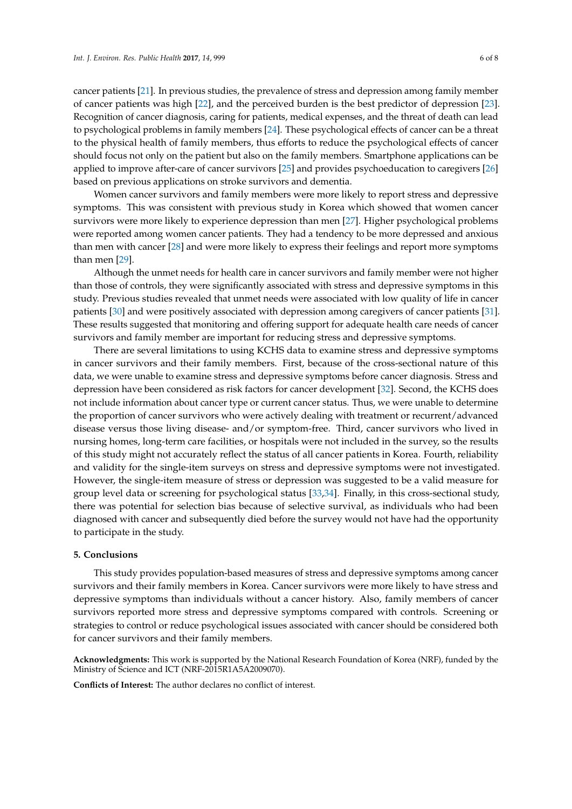cancer patients [\[21\]](#page-6-17). In previous studies, the prevalence of stress and depression among family member of cancer patients was high [\[22\]](#page-7-0), and the perceived burden is the best predictor of depression [\[23\]](#page-7-1). Recognition of cancer diagnosis, caring for patients, medical expenses, and the threat of death can lead to psychological problems in family members [\[24\]](#page-7-2). These psychological effects of cancer can be a threat to the physical health of family members, thus efforts to reduce the psychological effects of cancer should focus not only on the patient but also on the family members. Smartphone applications can be applied to improve after-care of cancer survivors [\[25\]](#page-7-3) and provides psychoeducation to caregivers [\[26\]](#page-7-4) based on previous applications on stroke survivors and dementia.

Women cancer survivors and family members were more likely to report stress and depressive symptoms. This was consistent with previous study in Korea which showed that women cancer survivors were more likely to experience depression than men [\[27\]](#page-7-5). Higher psychological problems were reported among women cancer patients. They had a tendency to be more depressed and anxious than men with cancer [\[28\]](#page-7-6) and were more likely to express their feelings and report more symptoms than men [\[29\]](#page-7-7).

Although the unmet needs for health care in cancer survivors and family member were not higher than those of controls, they were significantly associated with stress and depressive symptoms in this study. Previous studies revealed that unmet needs were associated with low quality of life in cancer patients [\[30\]](#page-7-8) and were positively associated with depression among caregivers of cancer patients [\[31\]](#page-7-9). These results suggested that monitoring and offering support for adequate health care needs of cancer survivors and family member are important for reducing stress and depressive symptoms.

There are several limitations to using KCHS data to examine stress and depressive symptoms in cancer survivors and their family members. First, because of the cross-sectional nature of this data, we were unable to examine stress and depressive symptoms before cancer diagnosis. Stress and depression have been considered as risk factors for cancer development [\[32\]](#page-7-10). Second, the KCHS does not include information about cancer type or current cancer status. Thus, we were unable to determine the proportion of cancer survivors who were actively dealing with treatment or recurrent/advanced disease versus those living disease- and/or symptom-free. Third, cancer survivors who lived in nursing homes, long-term care facilities, or hospitals were not included in the survey, so the results of this study might not accurately reflect the status of all cancer patients in Korea. Fourth, reliability and validity for the single-item surveys on stress and depressive symptoms were not investigated. However, the single-item measure of stress or depression was suggested to be a valid measure for group level data or screening for psychological status [\[33,](#page-7-11)[34\]](#page-7-12). Finally, in this cross-sectional study, there was potential for selection bias because of selective survival, as individuals who had been diagnosed with cancer and subsequently died before the survey would not have had the opportunity to participate in the study.

#### **5. Conclusions**

This study provides population-based measures of stress and depressive symptoms among cancer survivors and their family members in Korea. Cancer survivors were more likely to have stress and depressive symptoms than individuals without a cancer history. Also, family members of cancer survivors reported more stress and depressive symptoms compared with controls. Screening or strategies to control or reduce psychological issues associated with cancer should be considered both for cancer survivors and their family members.

**Acknowledgments:** This work is supported by the National Research Foundation of Korea (NRF), funded by the Ministry of Science and ICT (NRF-2015R1A5A2009070).

**Conflicts of Interest:** The author declares no conflict of interest.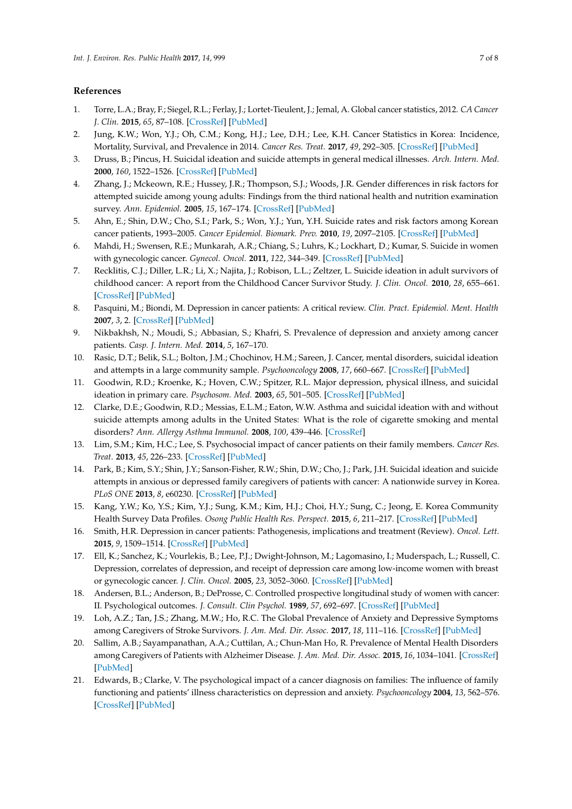## **References**

- <span id="page-6-0"></span>1. Torre, L.A.; Bray, F.; Siegel, R.L.; Ferlay, J.; Lortet-Tieulent, J.; Jemal, A. Global cancer statistics, 2012. *CA Cancer J. Clin.* **2015**, *65*, 87–108. [\[CrossRef\]](http://dx.doi.org/10.3322/caac.21262) [\[PubMed\]](http://www.ncbi.nlm.nih.gov/pubmed/25651787)
- <span id="page-6-1"></span>2. Jung, K.W.; Won, Y.J.; Oh, C.M.; Kong, H.J.; Lee, D.H.; Lee, K.H. Cancer Statistics in Korea: Incidence, Mortality, Survival, and Prevalence in 2014. *Cancer Res. Treat.* **2017**, *49*, 292–305. [\[CrossRef\]](http://dx.doi.org/10.4143/crt.2017.118) [\[PubMed\]](http://www.ncbi.nlm.nih.gov/pubmed/28279062)
- <span id="page-6-2"></span>3. Druss, B.; Pincus, H. Suicidal ideation and suicide attempts in general medical illnesses. *Arch. Intern. Med.* **2000**, *160*, 1522–1526. [\[CrossRef\]](http://dx.doi.org/10.1001/archinte.160.10.1522) [\[PubMed\]](http://www.ncbi.nlm.nih.gov/pubmed/10826468)
- <span id="page-6-8"></span>4. Zhang, J.; Mckeown, R.E.; Hussey, J.R.; Thompson, S.J.; Woods, J.R. Gender differences in risk factors for attempted suicide among young adults: Findings from the third national health and nutrition examination survey. *Ann. Epidemiol.* **2005**, *15*, 167–174. [\[CrossRef\]](http://dx.doi.org/10.1016/j.annepidem.2004.07.095) [\[PubMed\]](http://www.ncbi.nlm.nih.gov/pubmed/15652723)
- 5. Ahn, E.; Shin, D.W.; Cho, S.I.; Park, S.; Won, Y.J.; Yun, Y.H. Suicide rates and risk factors among Korean cancer patients, 1993–2005. *Cancer Epidemiol. Biomark. Prev.* **2010**, *19*, 2097–2105. [\[CrossRef\]](http://dx.doi.org/10.1158/1055-9965.EPI-10-0261) [\[PubMed\]](http://www.ncbi.nlm.nih.gov/pubmed/20696665)
- 6. Mahdi, H.; Swensen, R.E.; Munkarah, A.R.; Chiang, S.; Luhrs, K.; Lockhart, D.; Kumar, S. Suicide in women with gynecologic cancer. *Gynecol. Oncol.* **2011**, *122*, 344–349. [\[CrossRef\]](http://dx.doi.org/10.1016/j.ygyno.2011.04.015) [\[PubMed\]](http://www.ncbi.nlm.nih.gov/pubmed/21561646)
- <span id="page-6-3"></span>7. Recklitis, C.J.; Diller, L.R.; Li, X.; Najita, J.; Robison, L.L.; Zeltzer, L. Suicide ideation in adult survivors of childhood cancer: A report from the Childhood Cancer Survivor Study. *J. Clin. Oncol.* **2010**, *28*, 655–661. [\[CrossRef\]](http://dx.doi.org/10.1200/JCO.2009.22.8635) [\[PubMed\]](http://www.ncbi.nlm.nih.gov/pubmed/19841325)
- <span id="page-6-4"></span>8. Pasquini, M.; Biondi, M. Depression in cancer patients: A critical review. *Clin. Pract. Epidemiol. Ment. Health* **2007**, *3*, 2. [\[CrossRef\]](http://dx.doi.org/10.1186/1745-0179-3-2) [\[PubMed\]](http://www.ncbi.nlm.nih.gov/pubmed/17288583)
- <span id="page-6-5"></span>9. Nikbakhsh, N.; Moudi, S.; Abbasian, S.; Khafri, S. Prevalence of depression and anxiety among cancer patients. *Casp. J. Intern. Med.* **2014**, *5*, 167–170.
- <span id="page-6-6"></span>10. Rasic, D.T.; Belik, S.L.; Bolton, J.M.; Chochinov, H.M.; Sareen, J. Cancer, mental disorders, suicidal ideation and attempts in a large community sample. *Psychooncology* **2008**, *17*, 660–667. [\[CrossRef\]](http://dx.doi.org/10.1002/pon.1292) [\[PubMed\]](http://www.ncbi.nlm.nih.gov/pubmed/18050260)
- 11. Goodwin, R.D.; Kroenke, K.; Hoven, C.W.; Spitzer, R.L. Major depression, physical illness, and suicidal ideation in primary care. *Psychosom. Med.* **2003**, *65*, 501–505. [\[CrossRef\]](http://dx.doi.org/10.1097/01.PSY.0000041544.14277.EC) [\[PubMed\]](http://www.ncbi.nlm.nih.gov/pubmed/12883095)
- <span id="page-6-7"></span>12. Clarke, D.E.; Goodwin, R.D.; Messias, E.L.M.; Eaton, W.W. Asthma and suicidal ideation with and without suicide attempts among adults in the United States: What is the role of cigarette smoking and mental disorders? *Ann. Allergy Asthma Immunol.* **2008**, *100*, 439–446. [\[CrossRef\]](http://dx.doi.org/10.1016/S1081-1206(10)60468-1)
- <span id="page-6-9"></span>13. Lim, S.M.; Kim, H.C.; Lee, S. Psychosocial impact of cancer patients on their family members. *Cancer Res. Treat.* **2013**, *45*, 226–233. [\[CrossRef\]](http://dx.doi.org/10.4143/crt.2013.45.3.226) [\[PubMed\]](http://www.ncbi.nlm.nih.gov/pubmed/24155682)
- <span id="page-6-10"></span>14. Park, B.; Kim, S.Y.; Shin, J.Y.; Sanson-Fisher, R.W.; Shin, D.W.; Cho, J.; Park, J.H. Suicidal ideation and suicide attempts in anxious or depressed family caregivers of patients with cancer: A nationwide survey in Korea. *PLoS ONE* **2013**, *8*, e60230. [\[CrossRef\]](http://dx.doi.org/10.1371/journal.pone.0060230) [\[PubMed\]](http://www.ncbi.nlm.nih.gov/pubmed/23565204)
- <span id="page-6-11"></span>15. Kang, Y.W.; Ko, Y.S.; Kim, Y.J.; Sung, K.M.; Kim, H.J.; Choi, H.Y.; Sung, C.; Jeong, E. Korea Community Health Survey Data Profiles. *Osong Public Health Res. Perspect.* **2015**, *6*, 211–217. [\[CrossRef\]](http://dx.doi.org/10.1016/j.phrp.2015.05.003) [\[PubMed\]](http://www.ncbi.nlm.nih.gov/pubmed/26430619)
- <span id="page-6-12"></span>16. Smith, H.R. Depression in cancer patients: Pathogenesis, implications and treatment (Review). *Oncol. Lett.* **2015**, *9*, 1509–1514. [\[CrossRef\]](http://dx.doi.org/10.3892/ol.2015.2944) [\[PubMed\]](http://www.ncbi.nlm.nih.gov/pubmed/25788991)
- <span id="page-6-13"></span>17. Ell, K.; Sanchez, K.; Vourlekis, B.; Lee, P.J.; Dwight-Johnson, M.; Lagomasino, I.; Muderspach, L.; Russell, C. Depression, correlates of depression, and receipt of depression care among low-income women with breast or gynecologic cancer. *J. Clin. Oncol.* **2005**, *23*, 3052–3060. [\[CrossRef\]](http://dx.doi.org/10.1200/JCO.2005.08.041) [\[PubMed\]](http://www.ncbi.nlm.nih.gov/pubmed/15860863)
- <span id="page-6-14"></span>18. Andersen, B.L.; Anderson, B.; DeProsse, C. Controlled prospective longitudinal study of women with cancer: II. Psychological outcomes. *J. Consult. Clin Psychol.* **1989**, *57*, 692–697. [\[CrossRef\]](http://dx.doi.org/10.1037/0022-006X.57.6.692) [\[PubMed\]](http://www.ncbi.nlm.nih.gov/pubmed/2600239)
- <span id="page-6-15"></span>19. Loh, A.Z.; Tan, J.S.; Zhang, M.W.; Ho, R.C. The Global Prevalence of Anxiety and Depressive Symptoms among Caregivers of Stroke Survivors. *J. Am. Med. Dir. Assoc.* **2017**, *18*, 111–116. [\[CrossRef\]](http://dx.doi.org/10.1016/j.jamda.2016.08.014) [\[PubMed\]](http://www.ncbi.nlm.nih.gov/pubmed/27742585)
- <span id="page-6-16"></span>20. Sallim, A.B.; Sayampanathan, A.A.; Cuttilan, A.; Chun-Man Ho, R. Prevalence of Mental Health Disorders among Caregivers of Patients with Alzheimer Disease. *J. Am. Med. Dir. Assoc.* **2015**, *16*, 1034–1041. [\[CrossRef\]](http://dx.doi.org/10.1016/j.jamda.2015.09.007) [\[PubMed\]](http://www.ncbi.nlm.nih.gov/pubmed/26593303)
- <span id="page-6-17"></span>21. Edwards, B.; Clarke, V. The psychological impact of a cancer diagnosis on families: The influence of family functioning and patients' illness characteristics on depression and anxiety. *Psychooncology* **2004**, *13*, 562–576. [\[CrossRef\]](http://dx.doi.org/10.1002/pon.773) [\[PubMed\]](http://www.ncbi.nlm.nih.gov/pubmed/15295777)